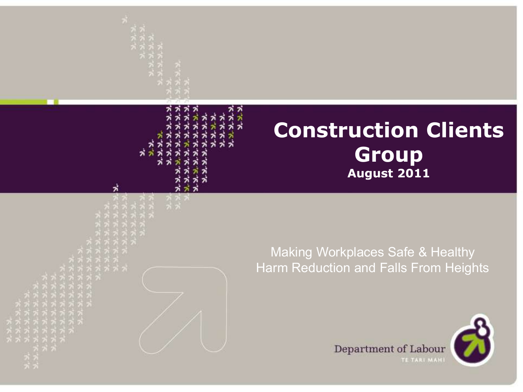

#### Making Workplaces Safe & Healthy Harm Reduction and Falls From Heights

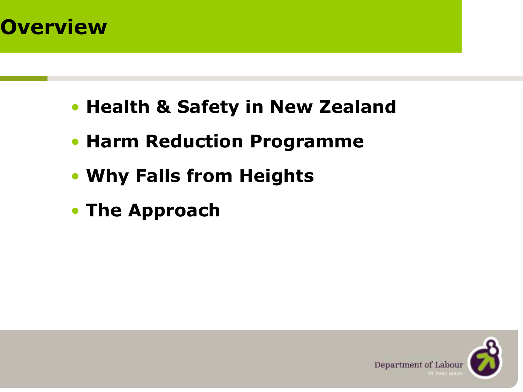# **Overview**

- **Health & Safety in New Zealand**
- **Harm Reduction Programme**
- **Why Falls from Heights**
- **The Approach**

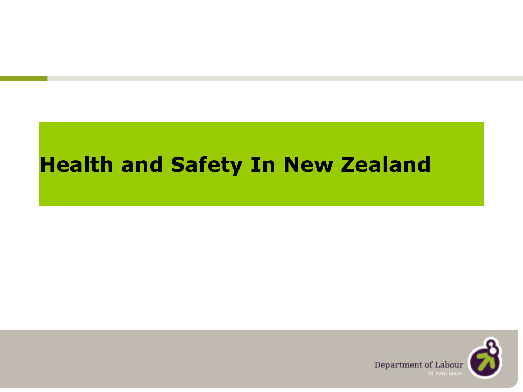#### **Health and Safety In New Zealand**

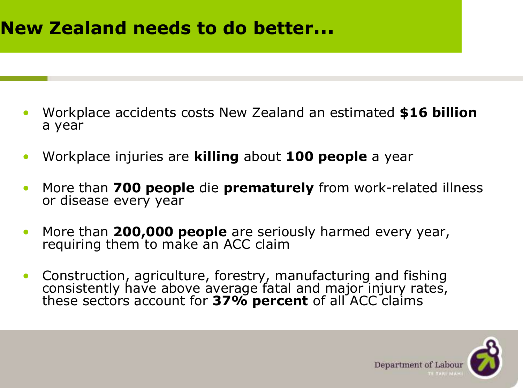#### **New Zealand needs to do better…**

- Workplace accidents costs New Zealand an estimated **\$16 billion** a year
- Workplace injuries are **killing** about **100 people** a year
- More than **700 people** die **prematurely** from work-related illness or disease every year
- More than **200,000 people** are seriously harmed every year, requiring them to make an ACC claim
- Construction, agriculture, forestry, manufacturing and fishing consistently have above average fatal and major injury rates, these sectors account for **37% percent** of all ACC claims

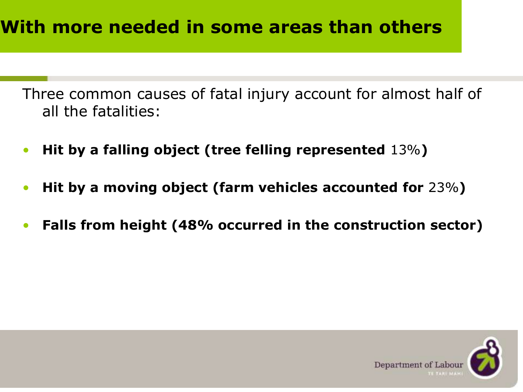Three common causes of fatal injury account for almost half of all the fatalities:

- **Hit by a falling object (tree felling represented** 13%**)**
- **Hit by a moving object (farm vehicles accounted for** 23%**)**
- **Falls from height (48% occurred in the construction sector)**

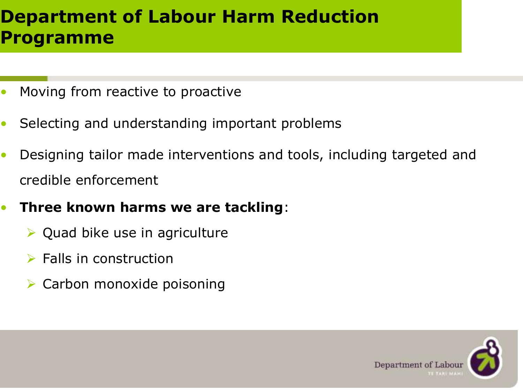#### **Department of Labour Harm Reduction Programme**

- Moving from reactive to proactive
- Selecting and understanding important problems
- Designing tailor made interventions and tools, including targeted and credible enforcement
- **Three known harms we are tackling**:
	- $\triangleright$  Quad bike use in agriculture
	- $\triangleright$  Falls in construction
	- Carbon monoxide poisoning

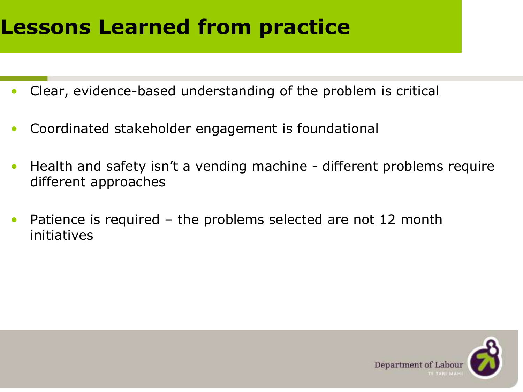### **Lessons Learned from practice**

- Clear, evidence-based understanding of the problem is critical
- Coordinated stakeholder engagement is foundational
- Health and safety isn't a vending machine different problems require different approaches
- Patience is required  $-$  the problems selected are not 12 month initiatives

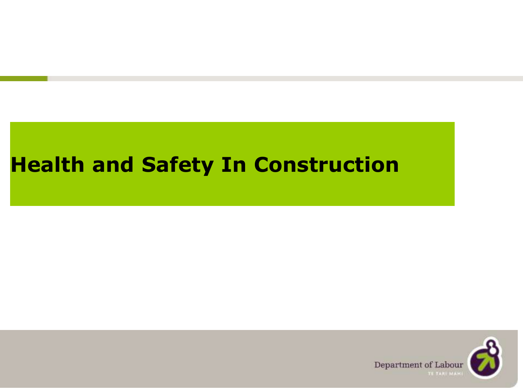#### **Health and Safety In Construction**

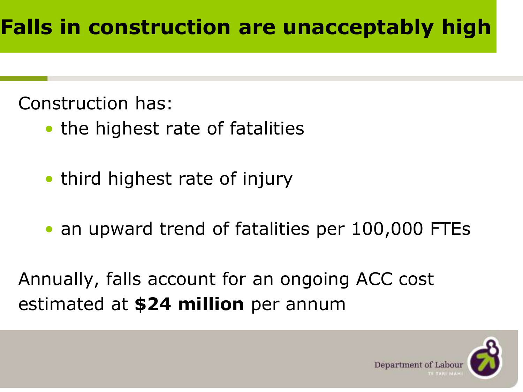Construction has:

- the highest rate of fatalities
- third highest rate of injury
- an upward trend of fatalities per 100,000 FTEs

Annually, falls account for an ongoing ACC cost estimated at **\$24 million** per annum

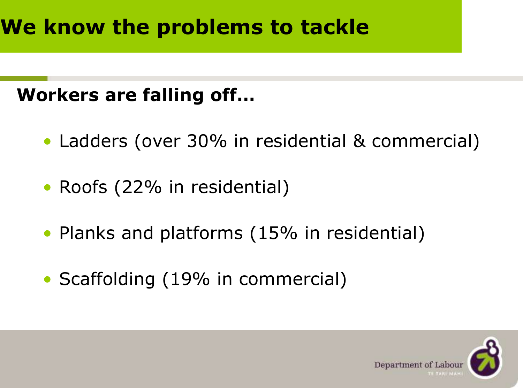#### **Workers are falling off…**

- Ladders (over 30% in residential & commercial)
- Roofs (22% in residential)
- Planks and platforms (15% in residential)
- Scaffolding (19% in commercial)

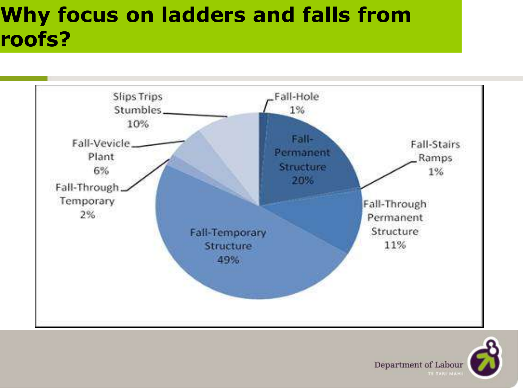# **Why focus on ladders and falls from roofs?**



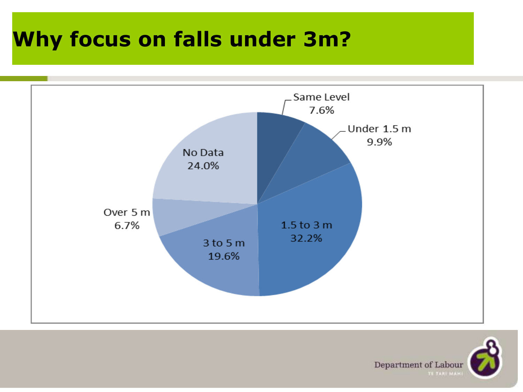# **Why focus on falls under 3m? Why focus on falls under 3m?**



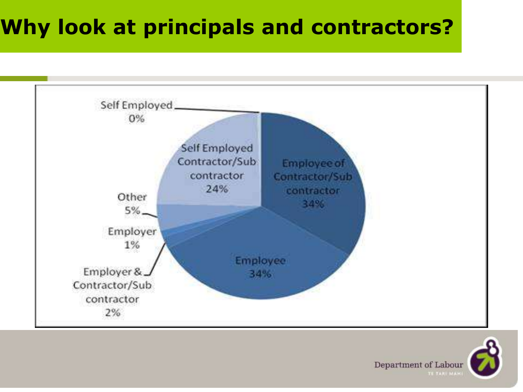### **Why look at principals and contractors?**



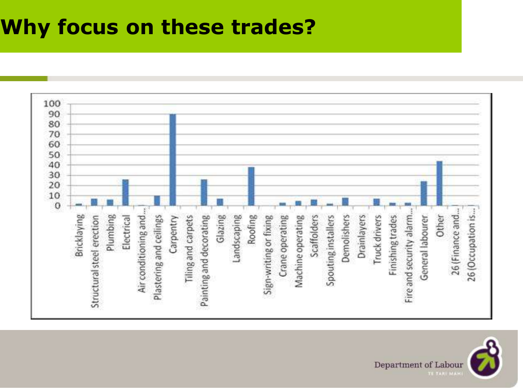#### **Why focus on these trades?**



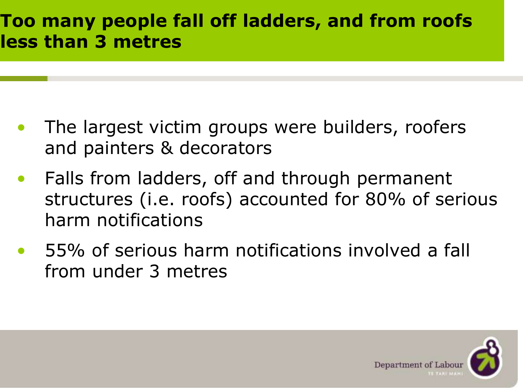#### **Too many people fall off ladders, and from roofs less than 3 metres**

- The largest victim groups were builders, roofers and painters & decorators
- Falls from ladders, off and through permanent structures (i.e. roofs) accounted for 80% of serious harm notifications
- 55% of serious harm notifications involved a fall from under 3 metres

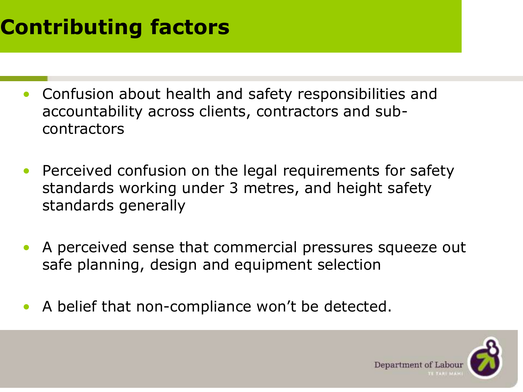# **Contributing factors**

- Confusion about health and safety responsibilities and accountability across clients, contractors and subcontractors
- Perceived confusion on the legal requirements for safety standards working under 3 metres, and height safety standards generally
- A perceived sense that commercial pressures squeeze out safe planning, design and equipment selection
- A belief that non-compliance won't be detected.

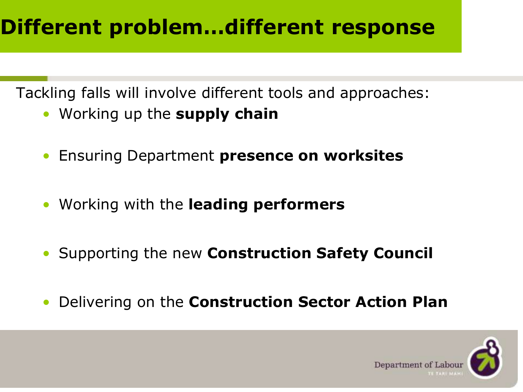# **Different problem…different response**

Tackling falls will involve different tools and approaches:

- Working up the **supply chain**
- Ensuring Department **presence on worksites**
- Working with the **leading performers**
- Supporting the new **Construction Safety Council**
- Delivering on the **Construction Sector Action Plan**

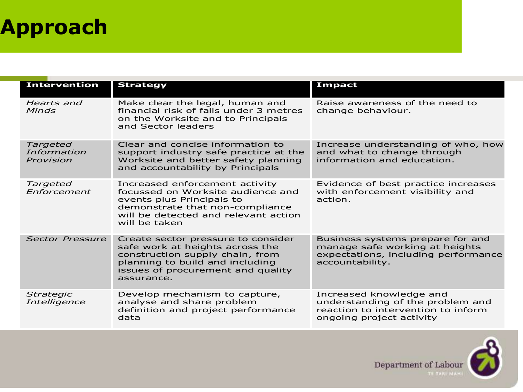# **Approach**

| <b>Intervention</b>                         | <b>Strategy</b>                                                                                                                                                                                | Impact                                                                                                                        |
|---------------------------------------------|------------------------------------------------------------------------------------------------------------------------------------------------------------------------------------------------|-------------------------------------------------------------------------------------------------------------------------------|
| Hearts and<br><b>Minds</b>                  | Make clear the legal, human and<br>financial risk of falls under 3 metres<br>on the Worksite and to Principals<br>and Sector leaders                                                           | Raise awareness of the need to<br>change behaviour.                                                                           |
| <b>Targeted</b><br>Information<br>Provision | Clear and concise information to<br>support industry safe practice at the<br>Worksite and better safety planning<br>and accountability by Principals                                           | Increase understanding of who, how<br>and what to change through<br>information and education.                                |
| Targeted<br>Enforcement                     | Increased enforcement activity<br>focussed on Worksite audience and<br>events plus Principals to<br>demonstrate that non-compliance<br>will be detected and relevant action<br>will be taken   | Evidence of best practice increases<br>with enforcement visibility and<br>action.                                             |
| <b>Sector Pressure</b>                      | Create sector pressure to consider<br>safe work at heights across the<br>construction supply chain, from<br>planning to build and including<br>issues of procurement and quality<br>assurance. | Business systems prepare for and<br>manage safe working at heights<br>expectations, including performance<br>accountability.  |
| <b>Strategic</b><br><i>Intelligence</i>     | Develop mechanism to capture,<br>analyse and share problem<br>definition and project performance<br>data                                                                                       | Increased knowledge and<br>understanding of the problem and<br>reaction to intervention to inform<br>ongoing project activity |

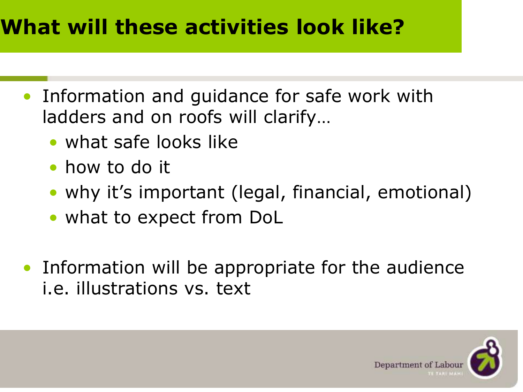### **What will these activities look like?**

- Information and guidance for safe work with ladders and on roofs will clarify…
	- what safe looks like
	- how to do it
	- why it's important (legal, financial, emotional)
	- what to expect from DoL
- Information will be appropriate for the audience i.e. illustrations vs. text

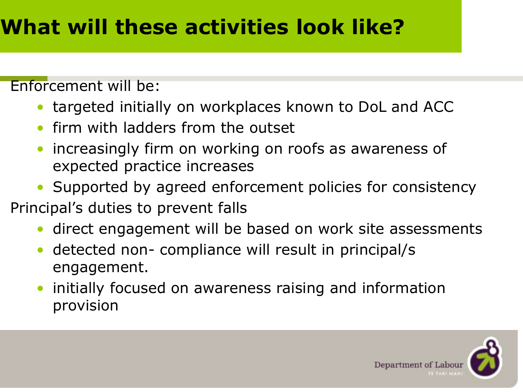Enforcement will be:

- targeted initially on workplaces known to DoL and ACC
- firm with ladders from the outset
- increasingly firm on working on roofs as awareness of expected practice increases
- Supported by agreed enforcement policies for consistency
- Principal's duties to prevent falls
	- direct engagement will be based on work site assessments
	- detected non- compliance will result in principal/s engagement.
	- initially focused on awareness raising and information provision

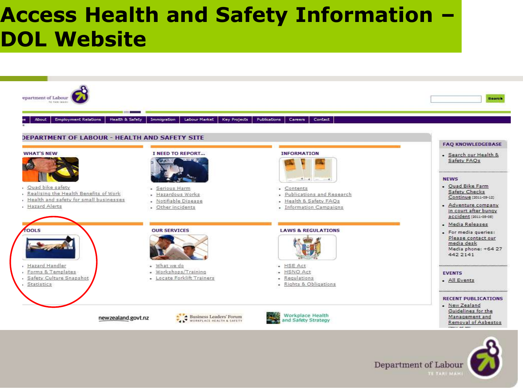#### **Access Health and Safety Information – DOL Website**